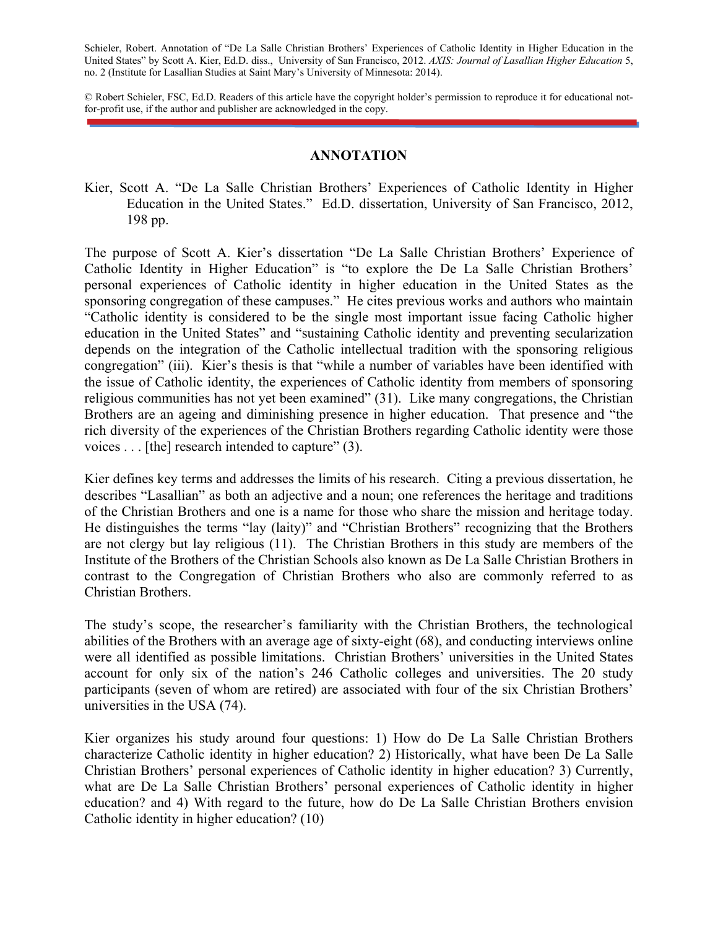Schieler, Robert. Annotation of "De La Salle Christian Brothers' Experiences of Catholic Identity in Higher Education in the United States" by Scott A. Kier, Ed.D. diss., University of San Francisco, 2012. *AXIS: Journal of Lasallian Higher Education* 5, no. 2 (Institute for Lasallian Studies at Saint Mary's University of Minnesota: 2014).

© Robert Schieler, FSC, Ed.D. Readers of this article have the copyright holder's permission to reproduce it for educational notfor-profit use, if the author and publisher are acknowledged in the copy.

## **ANNOTATION**

Kier, Scott A. "De La Salle Christian Brothers' Experiences of Catholic Identity in Higher Education in the United States." Ed.D. dissertation, University of San Francisco, 2012, 198 pp.

The purpose of Scott A. Kier's dissertation "De La Salle Christian Brothers' Experience of Catholic Identity in Higher Education" is "to explore the De La Salle Christian Brothers' personal experiences of Catholic identity in higher education in the United States as the sponsoring congregation of these campuses." He cites previous works and authors who maintain "Catholic identity is considered to be the single most important issue facing Catholic higher education in the United States" and "sustaining Catholic identity and preventing secularization depends on the integration of the Catholic intellectual tradition with the sponsoring religious congregation" (iii). Kier's thesis is that "while a number of variables have been identified with the issue of Catholic identity, the experiences of Catholic identity from members of sponsoring religious communities has not yet been examined" (31). Like many congregations, the Christian Brothers are an ageing and diminishing presence in higher education. That presence and "the rich diversity of the experiences of the Christian Brothers regarding Catholic identity were those voices . . . [the] research intended to capture" (3).

Kier defines key terms and addresses the limits of his research. Citing a previous dissertation, he describes "Lasallian" as both an adjective and a noun; one references the heritage and traditions of the Christian Brothers and one is a name for those who share the mission and heritage today. He distinguishes the terms "lay (laity)" and "Christian Brothers" recognizing that the Brothers are not clergy but lay religious (11). The Christian Brothers in this study are members of the Institute of the Brothers of the Christian Schools also known as De La Salle Christian Brothers in contrast to the Congregation of Christian Brothers who also are commonly referred to as Christian Brothers.

The study's scope, the researcher's familiarity with the Christian Brothers, the technological abilities of the Brothers with an average age of sixty-eight (68), and conducting interviews online were all identified as possible limitations. Christian Brothers' universities in the United States account for only six of the nation's 246 Catholic colleges and universities. The 20 study participants (seven of whom are retired) are associated with four of the six Christian Brothers' universities in the USA (74).

Kier organizes his study around four questions: 1) How do De La Salle Christian Brothers characterize Catholic identity in higher education? 2) Historically, what have been De La Salle Christian Brothers' personal experiences of Catholic identity in higher education? 3) Currently, what are De La Salle Christian Brothers' personal experiences of Catholic identity in higher education? and 4) With regard to the future, how do De La Salle Christian Brothers envision Catholic identity in higher education? (10)